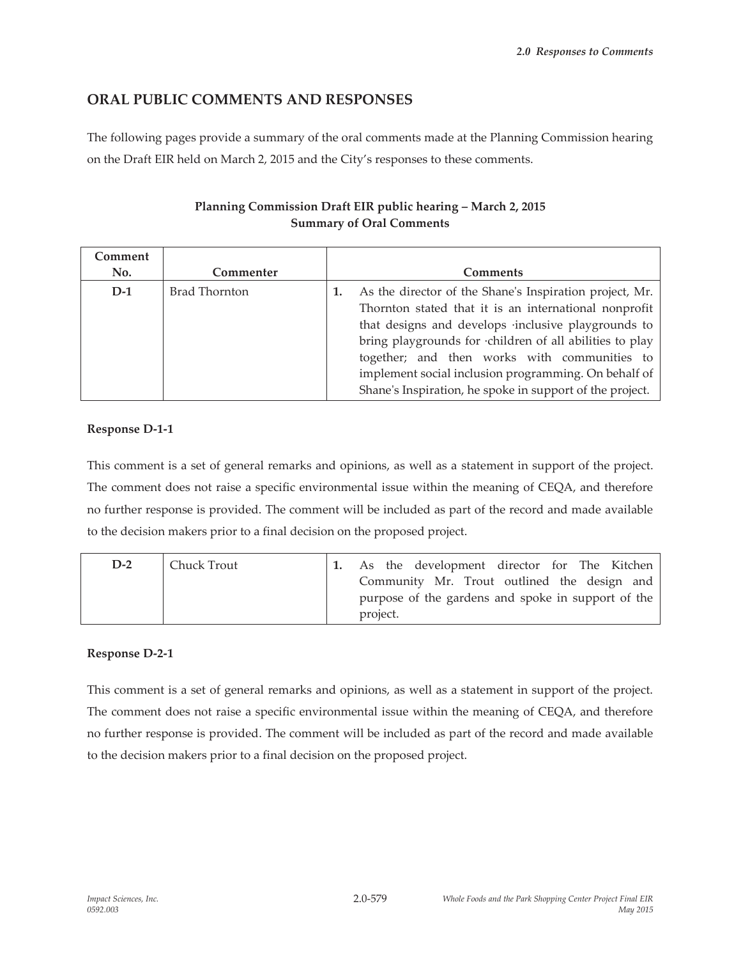# **ORAL PUBLIC COMMENTS AND RESPONSES**

The following pages provide a summary of the oral comments made at the Planning Commission hearing on the Draft EIR held on March 2, 2015 and the City's responses to these comments.

# **Planning Commission Draft EIR public hearing – March 2, 2015 Summary of Oral Comments**

| Comment |                      |                                                                                                                                                                                                                                                                                                                                                                                                       |
|---------|----------------------|-------------------------------------------------------------------------------------------------------------------------------------------------------------------------------------------------------------------------------------------------------------------------------------------------------------------------------------------------------------------------------------------------------|
| No.     | Commenter            | <b>Comments</b>                                                                                                                                                                                                                                                                                                                                                                                       |
| $D-1$   | <b>Brad Thornton</b> | As the director of the Shane's Inspiration project, Mr.<br>Thornton stated that it is an international nonprofit<br>that designs and develops inclusive playgrounds to<br>bring playgrounds for children of all abilities to play<br>together; and then works with communities to<br>implement social inclusion programming. On behalf of<br>Shane's Inspiration, he spoke in support of the project. |

# **Response D-1-1**

This comment is a set of general remarks and opinions, as well as a statement in support of the project. The comment does not raise a specific environmental issue within the meaning of CEQA, and therefore no further response is provided. The comment will be included as part of the record and made available to the decision makers prior to a final decision on the proposed project.

| $D-2$ | Chuck Trout | As the development director for The Kitchen                                                       |
|-------|-------------|---------------------------------------------------------------------------------------------------|
|       |             | Community Mr. Trout outlined the design and<br>purpose of the gardens and spoke in support of the |
|       |             | project.                                                                                          |

# **Response D-2-1**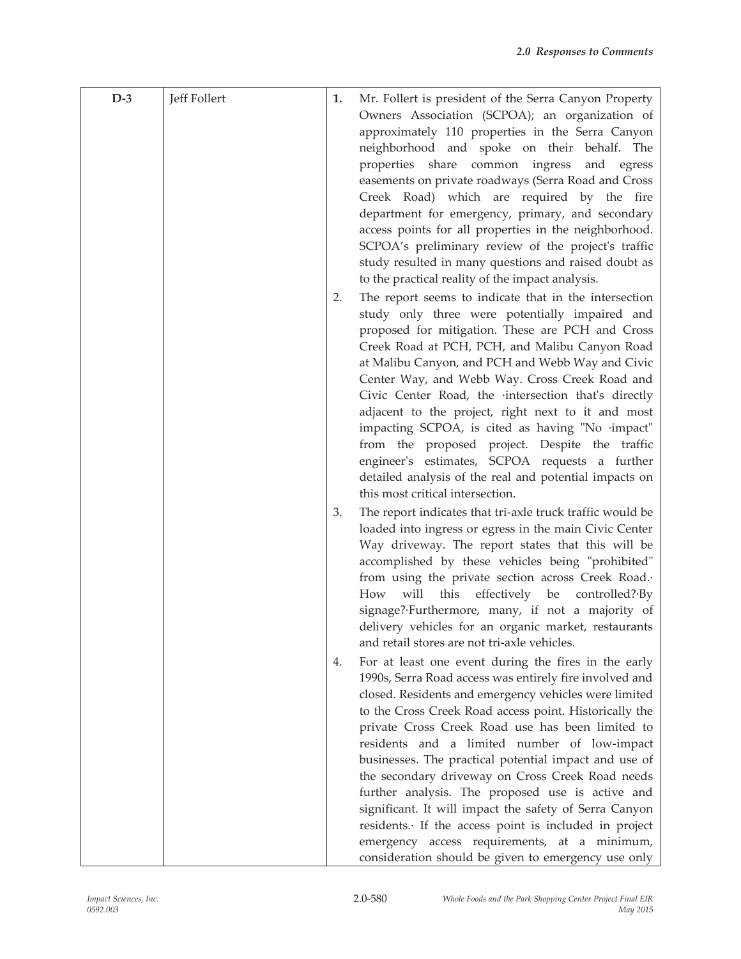| $D-3$ | Jeff Follert | 1. | Mr. Follert is president of the Serra Canyon Property                                                           |
|-------|--------------|----|-----------------------------------------------------------------------------------------------------------------|
|       |              |    | Owners Association (SCPOA); an organization of                                                                  |
|       |              |    | approximately 110 properties in the Serra Canyon                                                                |
|       |              |    | neighborhood and spoke on their behalf. The                                                                     |
|       |              |    | properties share common ingress and egress                                                                      |
|       |              |    | easements on private roadways (Serra Road and Cross                                                             |
|       |              |    | Creek Road) which are required by the fire                                                                      |
|       |              |    | department for emergency, primary, and secondary<br>access points for all properties in the neighborhood.       |
|       |              |    | SCPOA's preliminary review of the project's traffic                                                             |
|       |              |    | study resulted in many questions and raised doubt as                                                            |
|       |              |    | to the practical reality of the impact analysis.                                                                |
|       |              | 2. | The report seems to indicate that in the intersection                                                           |
|       |              |    | study only three were potentially impaired and                                                                  |
|       |              |    | proposed for mitigation. These are PCH and Cross                                                                |
|       |              |    | Creek Road at PCH, PCH, and Malibu Canyon Road                                                                  |
|       |              |    | at Malibu Canyon, and PCH and Webb Way and Civic                                                                |
|       |              |    | Center Way, and Webb Way. Cross Creek Road and                                                                  |
|       |              |    | Civic Center Road, the intersection that's directly<br>adjacent to the project, right next to it and most       |
|       |              |    | impacting SCPOA, is cited as having "No ·impact"                                                                |
|       |              |    | from the proposed project. Despite the traffic                                                                  |
|       |              |    | engineer's estimates, SCPOA requests a further                                                                  |
|       |              |    | detailed analysis of the real and potential impacts on                                                          |
|       |              |    | this most critical intersection.                                                                                |
|       |              | 3. | The report indicates that tri-axle truck traffic would be                                                       |
|       |              |    | loaded into ingress or egress in the main Civic Center                                                          |
|       |              |    | Way driveway. The report states that this will be<br>accomplished by these vehicles being "prohibited"          |
|       |              |    | from using the private section across Creek Road.                                                               |
|       |              |    | will<br>this<br>effectively be<br>How<br>controlled? By                                                         |
|       |              |    | signage?·Furthermore, many, if not a majority of                                                                |
|       |              |    | delivery vehicles for an organic market, restaurants                                                            |
|       |              |    | and retail stores are not tri-axle vehicles.                                                                    |
|       |              | 4. | For at least one event during the fires in the early                                                            |
|       |              |    | 1990s, Serra Road access was entirely fire involved and                                                         |
|       |              |    | closed. Residents and emergency vehicles were limited<br>to the Cross Creek Road access point. Historically the |
|       |              |    | private Cross Creek Road use has been limited to                                                                |
|       |              |    | residents and a limited number of low-impact                                                                    |
|       |              |    | businesses. The practical potential impact and use of                                                           |
|       |              |    | the secondary driveway on Cross Creek Road needs                                                                |
|       |              |    | further analysis. The proposed use is active and                                                                |
|       |              |    | significant. It will impact the safety of Serra Canyon                                                          |
|       |              |    | residents. If the access point is included in project                                                           |
|       |              |    | emergency access requirements, at a minimum,                                                                    |
|       |              |    | consideration should be given to emergency use only                                                             |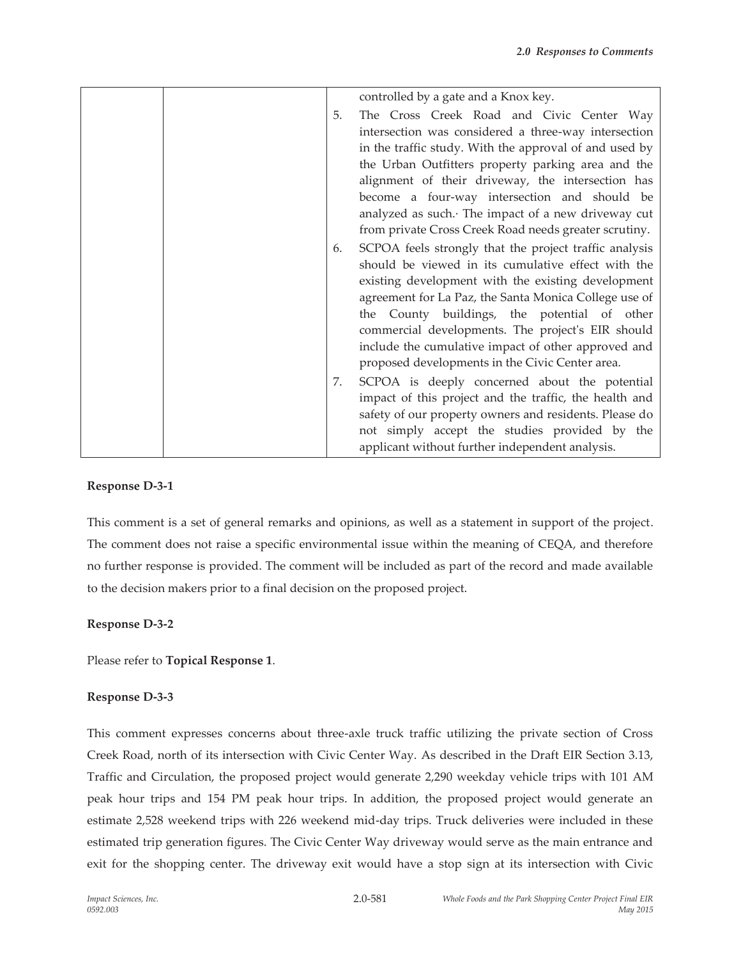|    | controlled by a gate and a Knox key.                                                                                                                                                                                                                                                                                                                                                                                                       |
|----|--------------------------------------------------------------------------------------------------------------------------------------------------------------------------------------------------------------------------------------------------------------------------------------------------------------------------------------------------------------------------------------------------------------------------------------------|
| 5. | The Cross Creek Road and Civic Center Way<br>intersection was considered a three-way intersection<br>in the traffic study. With the approval of and used by<br>the Urban Outfitters property parking area and the<br>alignment of their driveway, the intersection has<br>become a four-way intersection and should be<br>analyzed as such. The impact of a new driveway cut<br>from private Cross Creek Road needs greater scrutiny.      |
| 6. | SCPOA feels strongly that the project traffic analysis<br>should be viewed in its cumulative effect with the<br>existing development with the existing development<br>agreement for La Paz, the Santa Monica College use of<br>the County buildings, the potential of other<br>commercial developments. The project's EIR should<br>include the cumulative impact of other approved and<br>proposed developments in the Civic Center area. |
| 7. | SCPOA is deeply concerned about the potential<br>impact of this project and the traffic, the health and<br>safety of our property owners and residents. Please do<br>not simply accept the studies provided by the<br>applicant without further independent analysis.                                                                                                                                                                      |

## **Response D-3-1**

This comment is a set of general remarks and opinions, as well as a statement in support of the project. The comment does not raise a specific environmental issue within the meaning of CEQA, and therefore no further response is provided. The comment will be included as part of the record and made available to the decision makers prior to a final decision on the proposed project.

## **Response D-3-2**

Please refer to **Topical Response 1**.

## **Response D-3-3**

This comment expresses concerns about three-axle truck traffic utilizing the private section of Cross Creek Road, north of its intersection with Civic Center Way. As described in the Draft EIR Section 3.13, Traffic and Circulation, the proposed project would generate 2,290 weekday vehicle trips with 101 AM peak hour trips and 154 PM peak hour trips. In addition, the proposed project would generate an estimate 2,528 weekend trips with 226 weekend mid-day trips. Truck deliveries were included in these estimated trip generation figures. The Civic Center Way driveway would serve as the main entrance and exit for the shopping center. The driveway exit would have a stop sign at its intersection with Civic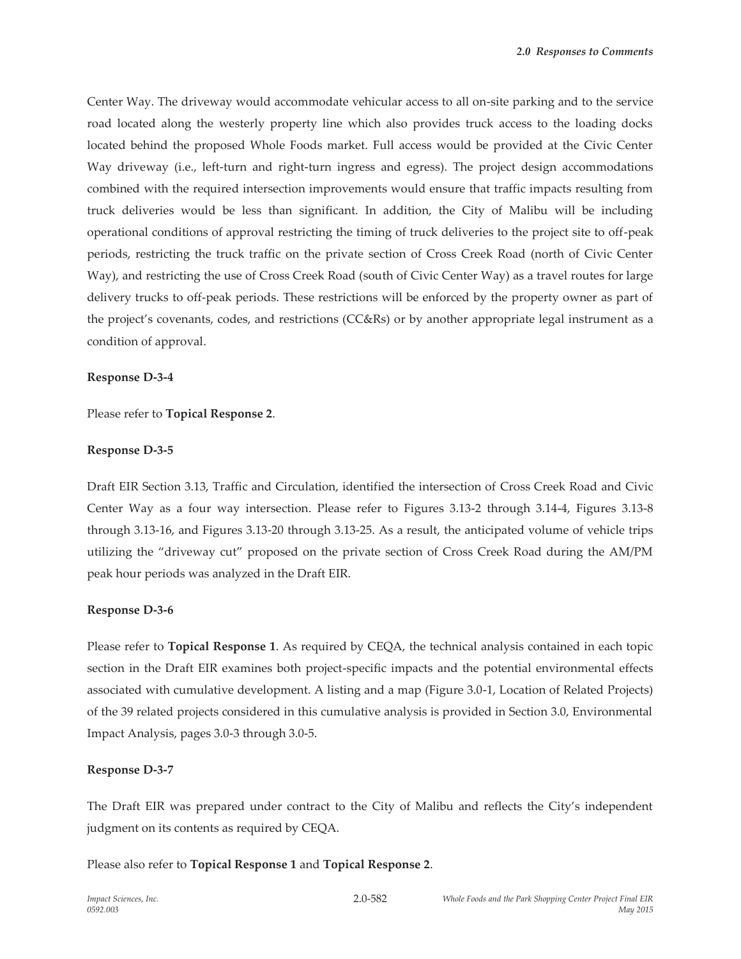Center Way. The driveway would accommodate vehicular access to all on-site parking and to the service road located along the westerly property line which also provides truck access to the loading docks located behind the proposed Whole Foods market. Full access would be provided at the Civic Center Way driveway (i.e., left-turn and right-turn ingress and egress). The project design accommodations combined with the required intersection improvements would ensure that traffic impacts resulting from truck deliveries would be less than significant. In addition, the City of Malibu will be including operational conditions of approval restricting the timing of truck deliveries to the project site to off-peak periods, restricting the truck traffic on the private section of Cross Creek Road (north of Civic Center Way), and restricting the use of Cross Creek Road (south of Civic Center Way) as a travel routes for large delivery trucks to off-peak periods. These restrictions will be enforced by the property owner as part of the project's covenants, codes, and restrictions (CC&Rs) or by another appropriate legal instrument as a condition of approval.

## **Response D-3-4**

Please refer to **Topical Response 2**.

## **Response D-3-5**

Draft EIR Section 3.13, Traffic and Circulation, identified the intersection of Cross Creek Road and Civic Center Way as a four way intersection. Please refer to Figures 3.13-2 through 3.14-4, Figures 3.13-8 through 3.13-16, and Figures 3.13-20 through 3.13-25. As a result, the anticipated volume of vehicle trips utilizing the "driveway cut" proposed on the private section of Cross Creek Road during the AM/PM peak hour periods was analyzed in the Draft EIR.

# **Response D-3-6**

Please refer to **Topical Response 1**. As required by CEQA, the technical analysis contained in each topic section in the Draft EIR examines both project-specific impacts and the potential environmental effects associated with cumulative development. A listing and a map (Figure 3.0-1, Location of Related Projects) of the 39 related projects considered in this cumulative analysis is provided in Section 3.0, Environmental Impact Analysis, pages 3.0-3 through 3.0-5.

# **Response D-3-7**

The Draft EIR was prepared under contract to the City of Malibu and reflects the City's independent judgment on its contents as required by CEQA.

2.0-582

Please also refer to **Topical Response 1** and **Topical Response 2**.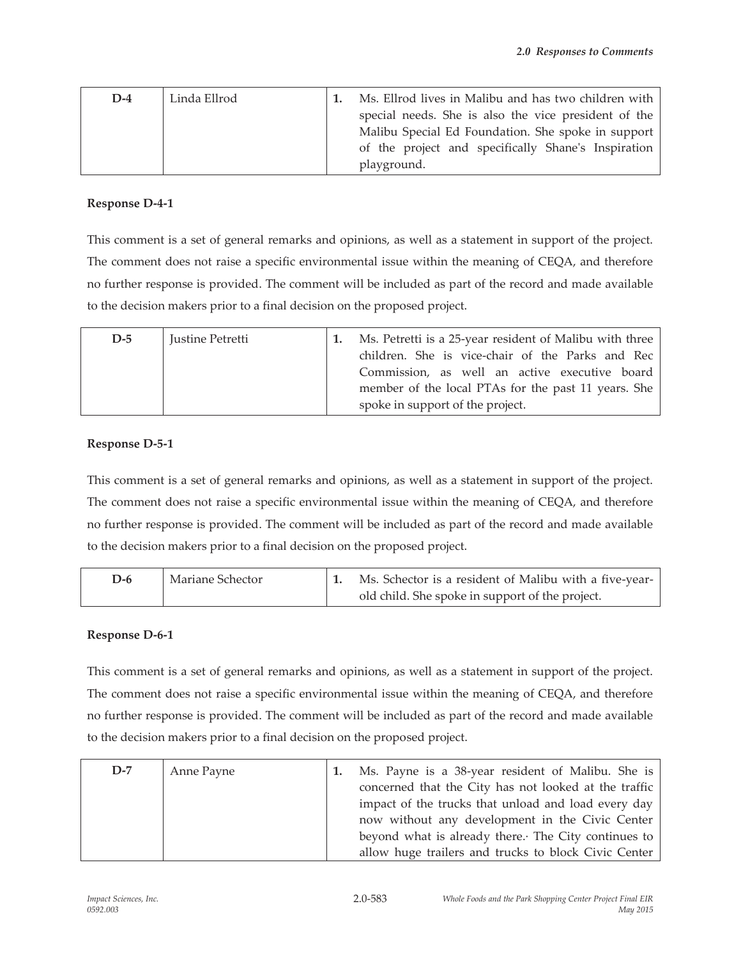| $D-4$ | Linda Ellrod | Ms. Ellrod lives in Malibu and has two children with |
|-------|--------------|------------------------------------------------------|
|       |              | special needs. She is also the vice president of the |
|       |              | Malibu Special Ed Foundation. She spoke in support   |
|       |              | of the project and specifically Shane's Inspiration  |
|       |              | playground.                                          |

## **Response D-4-1**

This comment is a set of general remarks and opinions, as well as a statement in support of the project. The comment does not raise a specific environmental issue within the meaning of CEQA, and therefore no further response is provided. The comment will be included as part of the record and made available to the decision makers prior to a final decision on the proposed project.

| $D-5$ | Justine Petretti |  | Ms. Petretti is a 25-year resident of Malibu with three<br>children. She is vice-chair of the Parks and Rec<br>Commission, as well an active executive board<br>member of the local PTAs for the past 11 years. She<br>spoke in support of the project. |
|-------|------------------|--|---------------------------------------------------------------------------------------------------------------------------------------------------------------------------------------------------------------------------------------------------------|
|-------|------------------|--|---------------------------------------------------------------------------------------------------------------------------------------------------------------------------------------------------------------------------------------------------------|

## **Response D-5-1**

This comment is a set of general remarks and opinions, as well as a statement in support of the project. The comment does not raise a specific environmental issue within the meaning of CEQA, and therefore no further response is provided. The comment will be included as part of the record and made available to the decision makers prior to a final decision on the proposed project.

| $D-6$ | Mariane Schector | Ms. Schector is a resident of Malibu with a five-year- |
|-------|------------------|--------------------------------------------------------|
|       |                  | old child. She spoke in support of the project.        |

# **Response D-6-1**

| $D-7$ | Anne Payne | Ms. Payne is a 38-year resident of Malibu. She is<br>concerned that the City has not looked at the traffic<br>impact of the trucks that unload and load every day |
|-------|------------|-------------------------------------------------------------------------------------------------------------------------------------------------------------------|
|       |            | now without any development in the Civic Center<br>beyond what is already there. The City continues to<br>allow huge trailers and trucks to block Civic Center    |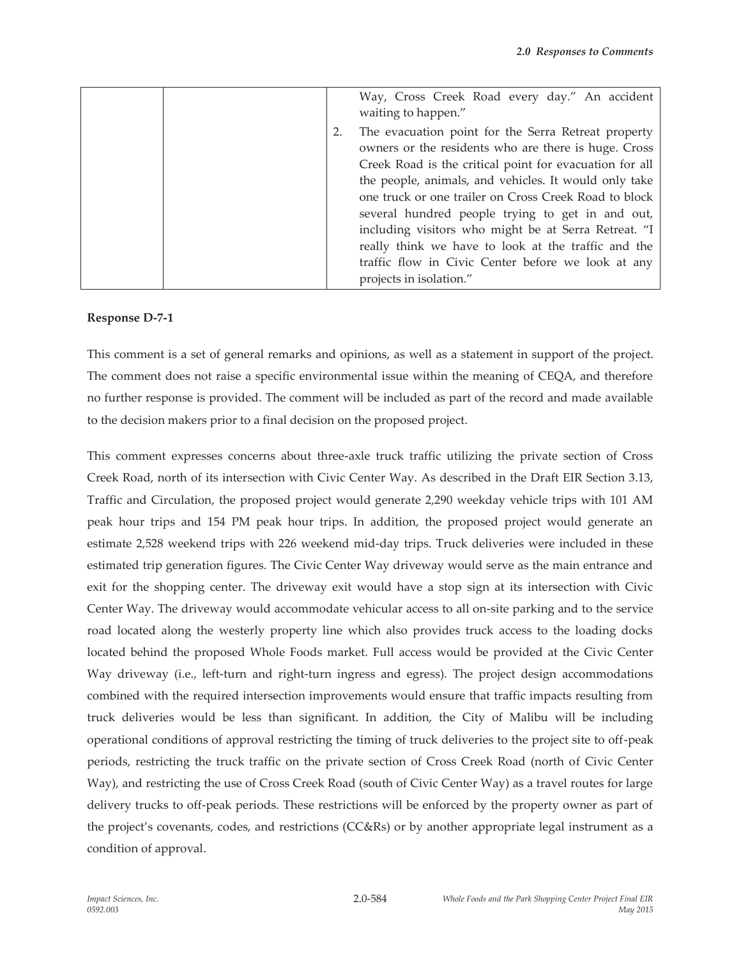|  | Way, Cross Creek Road every day." An accident<br>waiting to happen."                                                                                                                                                                                                                                                                                                                                                                                                                                                                         |
|--|----------------------------------------------------------------------------------------------------------------------------------------------------------------------------------------------------------------------------------------------------------------------------------------------------------------------------------------------------------------------------------------------------------------------------------------------------------------------------------------------------------------------------------------------|
|  | The evacuation point for the Serra Retreat property<br>owners or the residents who are there is huge. Cross<br>Creek Road is the critical point for evacuation for all<br>the people, animals, and vehicles. It would only take<br>one truck or one trailer on Cross Creek Road to block<br>several hundred people trying to get in and out,<br>including visitors who might be at Serra Retreat. "I<br>really think we have to look at the traffic and the<br>traffic flow in Civic Center before we look at any<br>projects in isolation." |

## **Response D-7-1**

This comment is a set of general remarks and opinions, as well as a statement in support of the project. The comment does not raise a specific environmental issue within the meaning of CEQA, and therefore no further response is provided. The comment will be included as part of the record and made available to the decision makers prior to a final decision on the proposed project.

This comment expresses concerns about three-axle truck traffic utilizing the private section of Cross Creek Road, north of its intersection with Civic Center Way. As described in the Draft EIR Section 3.13, Traffic and Circulation, the proposed project would generate 2,290 weekday vehicle trips with 101 AM peak hour trips and 154 PM peak hour trips. In addition, the proposed project would generate an estimate 2,528 weekend trips with 226 weekend mid-day trips. Truck deliveries were included in these estimated trip generation figures. The Civic Center Way driveway would serve as the main entrance and exit for the shopping center. The driveway exit would have a stop sign at its intersection with Civic Center Way. The driveway would accommodate vehicular access to all on-site parking and to the service road located along the westerly property line which also provides truck access to the loading docks located behind the proposed Whole Foods market. Full access would be provided at the Civic Center Way driveway (i.e., left-turn and right-turn ingress and egress). The project design accommodations combined with the required intersection improvements would ensure that traffic impacts resulting from truck deliveries would be less than significant. In addition, the City of Malibu will be including operational conditions of approval restricting the timing of truck deliveries to the project site to off-peak periods, restricting the truck traffic on the private section of Cross Creek Road (north of Civic Center Way), and restricting the use of Cross Creek Road (south of Civic Center Way) as a travel routes for large delivery trucks to off-peak periods. These restrictions will be enforced by the property owner as part of the project's covenants, codes, and restrictions (CC&Rs) or by another appropriate legal instrument as a condition of approval.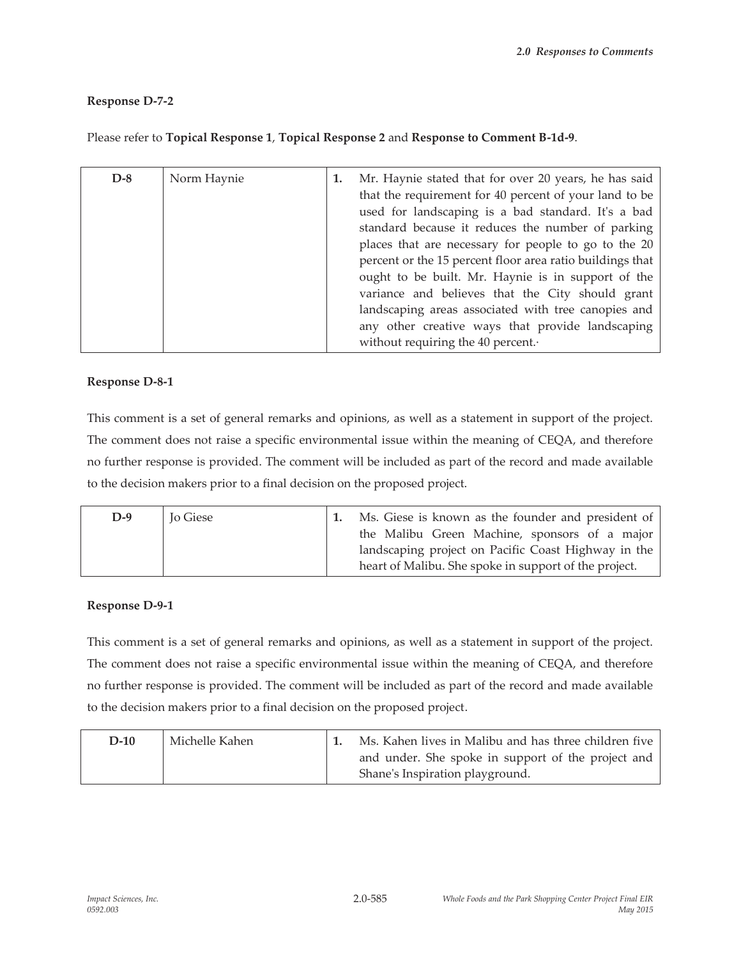# **Response D-7-2**

| $D-8$ | Norm Haynie | 1. | Mr. Haynie stated that for over 20 years, he has said<br>that the requirement for 40 percent of your land to be<br>used for landscaping is a bad standard. It's a bad<br>standard because it reduces the number of parking<br>places that are necessary for people to go to the 20<br>percent or the 15 percent floor area ratio buildings that<br>ought to be built. Mr. Haynie is in support of the<br>variance and believes that the City should grant<br>landscaping areas associated with tree canopies and<br>any other creative ways that provide landscaping<br>without requiring the 40 percent. |
|-------|-------------|----|-----------------------------------------------------------------------------------------------------------------------------------------------------------------------------------------------------------------------------------------------------------------------------------------------------------------------------------------------------------------------------------------------------------------------------------------------------------------------------------------------------------------------------------------------------------------------------------------------------------|

# Please refer to **Topical Response 1**, **Topical Response 2** and **Response to Comment B-1d-9**.

## **Response D-8-1**

This comment is a set of general remarks and opinions, as well as a statement in support of the project. The comment does not raise a specific environmental issue within the meaning of CEQA, and therefore no further response is provided. The comment will be included as part of the record and made available to the decision makers prior to a final decision on the proposed project.

|  | $D-9$ | Jo Giese |  | Ms. Giese is known as the founder and president of<br>the Malibu Green Machine, sponsors of a major<br>landscaping project on Pacific Coast Highway in the<br>heart of Malibu. She spoke in support of the project. |
|--|-------|----------|--|---------------------------------------------------------------------------------------------------------------------------------------------------------------------------------------------------------------------|
|--|-------|----------|--|---------------------------------------------------------------------------------------------------------------------------------------------------------------------------------------------------------------------|

## **Response D-9-1**

This comment is a set of general remarks and opinions, as well as a statement in support of the project. The comment does not raise a specific environmental issue within the meaning of CEQA, and therefore no further response is provided. The comment will be included as part of the record and made available to the decision makers prior to a final decision on the proposed project.

| $D-10$ | Michelle Kahen | Ms. Kahen lives in Malibu and has three children five                                 |
|--------|----------------|---------------------------------------------------------------------------------------|
|        |                | and under. She spoke in support of the project and<br>Shane's Inspiration playground. |
|        |                |                                                                                       |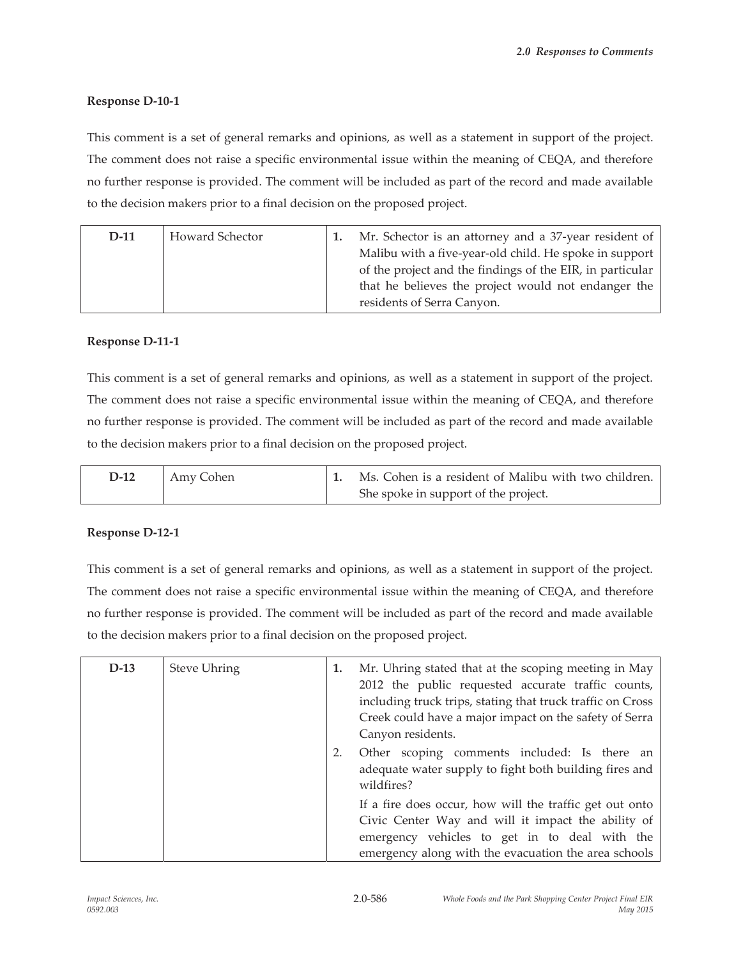# **Response D-10-1**

This comment is a set of general remarks and opinions, as well as a statement in support of the project. The comment does not raise a specific environmental issue within the meaning of CEQA, and therefore no further response is provided. The comment will be included as part of the record and made available to the decision makers prior to a final decision on the proposed project.

| $D-11$ | Howard Schector | Mr. Schector is an attorney and a 37-year resident of     |
|--------|-----------------|-----------------------------------------------------------|
|        |                 | Malibu with a five-year-old child. He spoke in support    |
|        |                 | of the project and the findings of the EIR, in particular |
|        |                 | that he believes the project would not endanger the       |
|        |                 | residents of Serra Canyon.                                |

## **Response D-11-1**

This comment is a set of general remarks and opinions, as well as a statement in support of the project. The comment does not raise a specific environmental issue within the meaning of CEQA, and therefore no further response is provided. The comment will be included as part of the record and made available to the decision makers prior to a final decision on the proposed project.

| D-12 | Amy Cohen | Ms. Cohen is a resident of Malibu with two children. |
|------|-----------|------------------------------------------------------|
|      |           | She spoke in support of the project.                 |

# **Response D-12-1**

| $D-13$ | <b>Steve Uhring</b> | 1. | Mr. Uhring stated that at the scoping meeting in May<br>2012 the public requested accurate traffic counts,<br>including truck trips, stating that truck traffic on Cross<br>Creek could have a major impact on the safety of Serra<br>Canyon residents. |
|--------|---------------------|----|---------------------------------------------------------------------------------------------------------------------------------------------------------------------------------------------------------------------------------------------------------|
|        |                     |    | Other scoping comments included: Is there an<br>adequate water supply to fight both building fires and<br>wildfires?                                                                                                                                    |
|        |                     |    | If a fire does occur, how will the traffic get out onto<br>Civic Center Way and will it impact the ability of<br>emergency vehicles to get in to deal with the<br>emergency along with the evacuation the area schools                                  |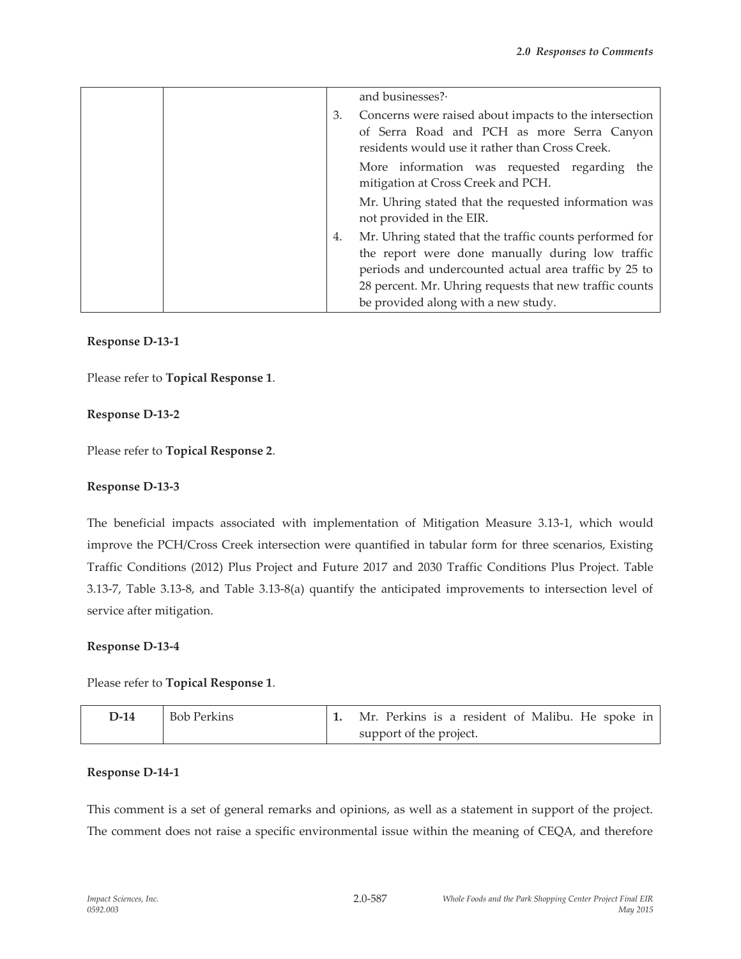|  |    | and businesses?                                                                                                                                                                                                                 |
|--|----|---------------------------------------------------------------------------------------------------------------------------------------------------------------------------------------------------------------------------------|
|  | 3. | Concerns were raised about impacts to the intersection<br>of Serra Road and PCH as more Serra Canyon<br>residents would use it rather than Cross Creek.                                                                         |
|  |    | More information was requested regarding the<br>mitigation at Cross Creek and PCH.<br>Mr. Uhring stated that the requested information was                                                                                      |
|  |    | not provided in the EIR.                                                                                                                                                                                                        |
|  | 4. | Mr. Uhring stated that the traffic counts performed for<br>the report were done manually during low traffic<br>periods and undercounted actual area traffic by 25 to<br>28 percent. Mr. Uhring requests that new traffic counts |
|  |    | be provided along with a new study.                                                                                                                                                                                             |

## **Response D-13-1**

Please refer to **Topical Response 1**.

## **Response D-13-2**

Please refer to **Topical Response 2**.

## **Response D-13-3**

The beneficial impacts associated with implementation of Mitigation Measure 3.13-1, which would improve the PCH/Cross Creek intersection were quantified in tabular form for three scenarios, Existing Traffic Conditions (2012) Plus Project and Future 2017 and 2030 Traffic Conditions Plus Project. Table 3.13-7, Table 3.13-8, and Table 3.13-8(a) quantify the anticipated improvements to intersection level of service after mitigation.

## **Response D-13-4**

Please refer to **Topical Response 1**.

| D-14 | Bob Perkins |  |                         |  | Mr. Perkins is a resident of Malibu. He spoke in |  |  |  |
|------|-------------|--|-------------------------|--|--------------------------------------------------|--|--|--|
|      |             |  | support of the project. |  |                                                  |  |  |  |

## **Response D-14-1**

This comment is a set of general remarks and opinions, as well as a statement in support of the project. The comment does not raise a specific environmental issue within the meaning of CEQA, and therefore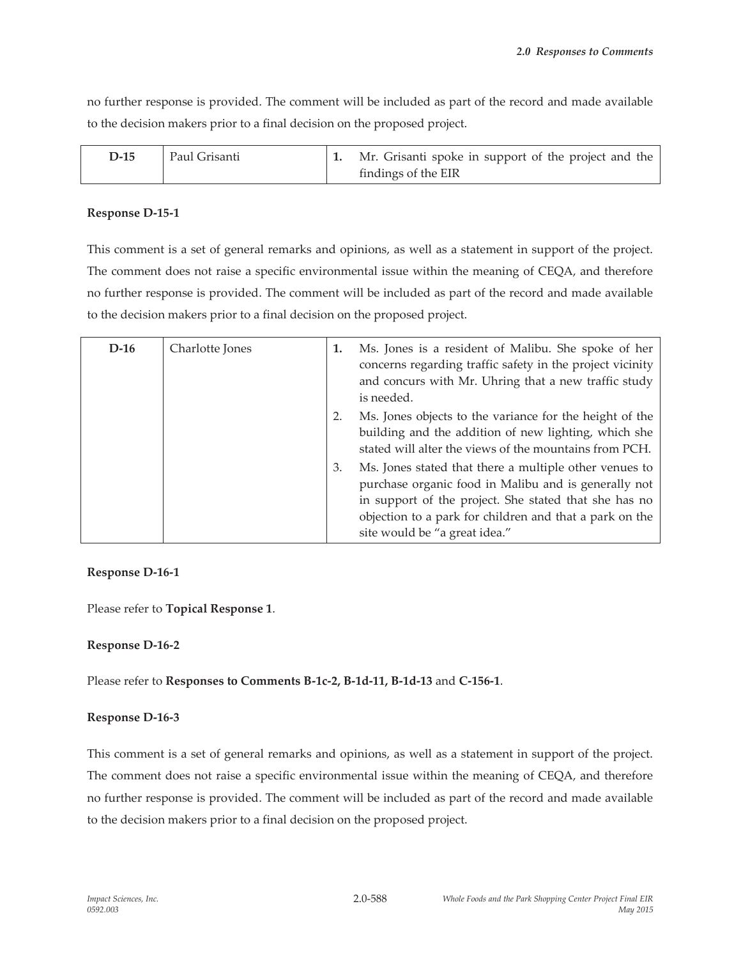no further response is provided. The comment will be included as part of the record and made available to the decision makers prior to a final decision on the proposed project.

| D-15 | Paul Grisanti | Mr. Grisanti spoke in support of the project and the |
|------|---------------|------------------------------------------------------|
|      |               | findings of the EIR                                  |

## **Response D-15-1**

This comment is a set of general remarks and opinions, as well as a statement in support of the project. The comment does not raise a specific environmental issue within the meaning of CEQA, and therefore no further response is provided. The comment will be included as part of the record and made available to the decision makers prior to a final decision on the proposed project.

| $D-16$ | Charlotte Jones | 1. | Ms. Jones is a resident of Malibu. She spoke of her<br>concerns regarding traffic safety in the project vicinity<br>and concurs with Mr. Uhring that a new traffic study<br>is needed.                                                                              |
|--------|-----------------|----|---------------------------------------------------------------------------------------------------------------------------------------------------------------------------------------------------------------------------------------------------------------------|
|        |                 |    | Ms. Jones objects to the variance for the height of the<br>building and the addition of new lighting, which she<br>stated will alter the views of the mountains from PCH.                                                                                           |
|        |                 | 3. | Ms. Jones stated that there a multiple other venues to<br>purchase organic food in Malibu and is generally not<br>in support of the project. She stated that she has no<br>objection to a park for children and that a park on the<br>site would be "a great idea." |

# **Response D-16-1**

Please refer to **Topical Response 1**.

# **Response D-16-2**

Please refer to **Responses to Comments B-1c-2, B-1d-11, B-1d-13** and **C-156-1**.

# **Response D-16-3**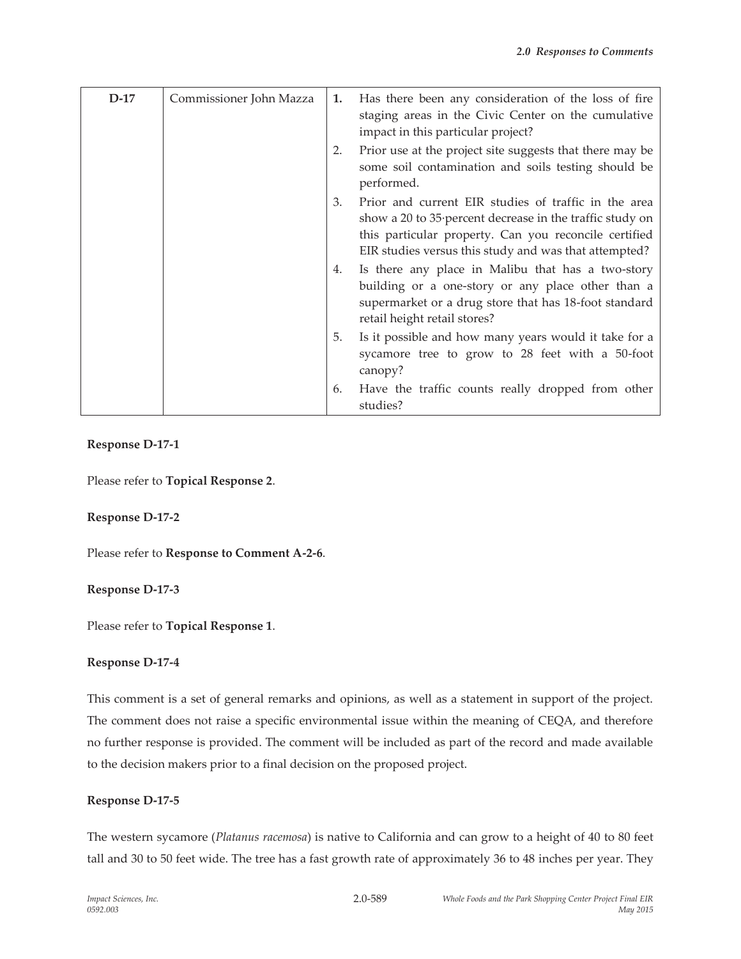| $D-17$ | Commissioner John Mazza | 1. | Has there been any consideration of the loss of fire<br>staging areas in the Civic Center on the cumulative<br>impact in this particular project?                                                                                  |
|--------|-------------------------|----|------------------------------------------------------------------------------------------------------------------------------------------------------------------------------------------------------------------------------------|
|        |                         | 2. | Prior use at the project site suggests that there may be<br>some soil contamination and soils testing should be<br>performed.                                                                                                      |
|        |                         | 3. | Prior and current EIR studies of traffic in the area<br>show a 20 to 35 percent decrease in the traffic study on<br>this particular property. Can you reconcile certified<br>EIR studies versus this study and was that attempted? |
|        |                         | 4. | Is there any place in Malibu that has a two-story<br>building or a one-story or any place other than a<br>supermarket or a drug store that has 18-foot standard<br>retail height retail stores?                                    |
|        |                         | 5. | Is it possible and how many years would it take for a<br>sycamore tree to grow to 28 feet with a 50-foot<br>canopy?                                                                                                                |
|        |                         | 6. | Have the traffic counts really dropped from other<br>studies?                                                                                                                                                                      |

## **Response D-17-1**

Please refer to **Topical Response 2**.

## **Response D-17-2**

Please refer to **Response to Comment A-2-6**.

# **Response D-17-3**

Please refer to **Topical Response 1**.

## **Response D-17-4**

This comment is a set of general remarks and opinions, as well as a statement in support of the project. The comment does not raise a specific environmental issue within the meaning of CEQA, and therefore no further response is provided. The comment will be included as part of the record and made available to the decision makers prior to a final decision on the proposed project.

## **Response D-17-5**

The western sycamore (*Platanus racemosa*) is native to California and can grow to a height of 40 to 80 feet tall and 30 to 50 feet wide. The tree has a fast growth rate of approximately 36 to 48 inches per year. They